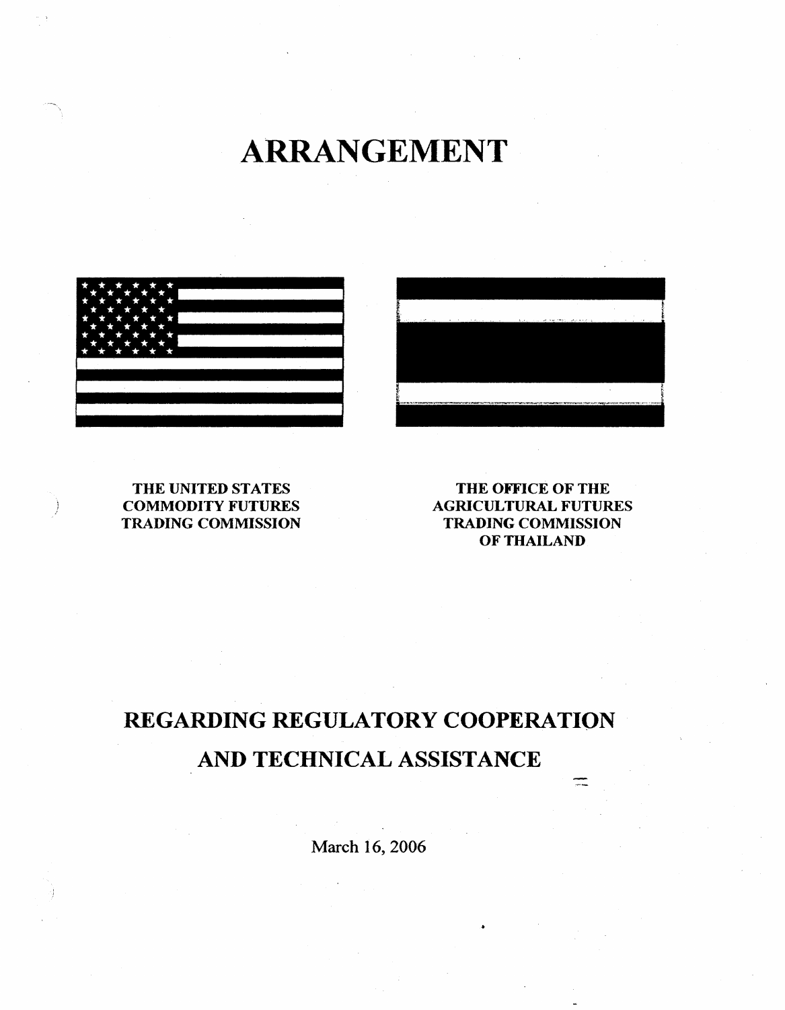ARRANGEMENT





# THE UNITED STATES COMMODITY FUTURES TRADING COMMISSION

THE OFFICE OF THE AGRICULTURAL FUTURES TRADING COMMISSION OF THAILAND

 $=$ 

# REGARDING REGULATORY COOPERATION AND TECHNICAL ASSISTANCE

March 16, 2006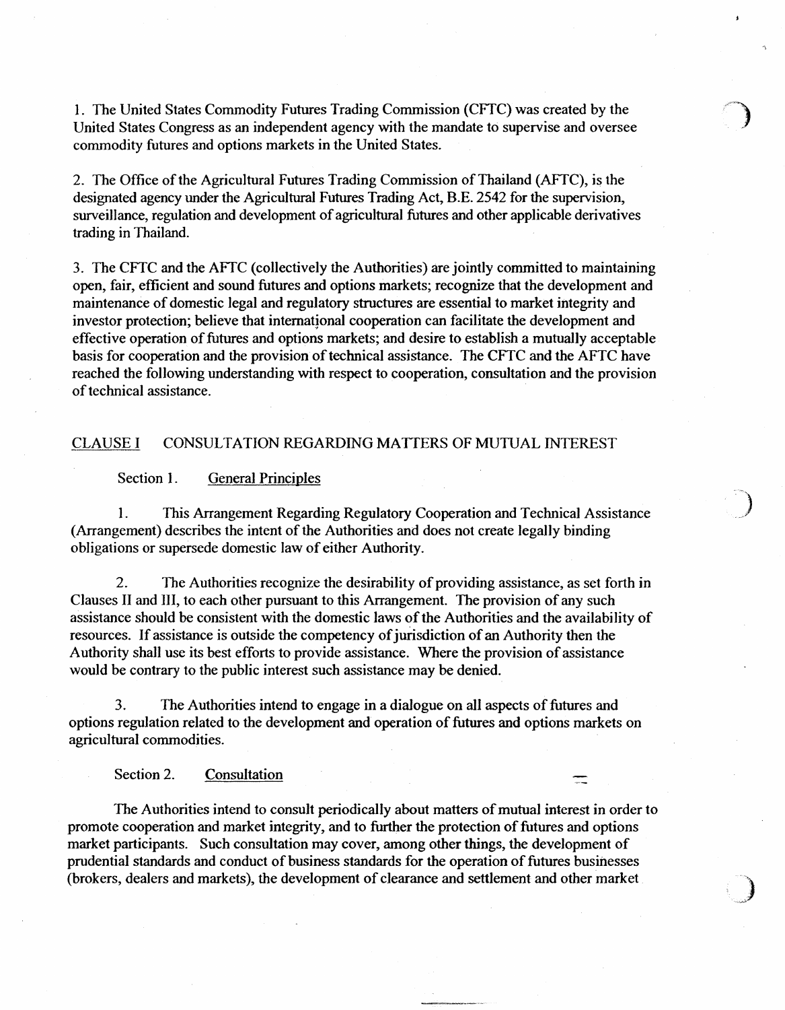1. The United States Commodity Futures Trading Commission (CFfC) was created by the United States Congress as an independent agency with the mandate to supervise and oversee commodity futures and options markets in the United States.

2. The Office of the Agricultural Futures Trading Commission of Thailand (AFfC), is the designated agency under the Agricultural Futures Trading Act, B.E. 2542 for the supervision, surveillance, regulation and development of agricultural futures and other applicable derivatives trading in Thailand.

3. The CFfC and the AFfC (collectively the Authorities) are jointly committed to maintaining open, fair, efficient and sound futures and options markets; recognize that the development and maintenance of domestic legal and regulatory structures are essential to market integrity and investor protection; believe that international cooperation can facilitate the development and effective operation of futures and options markets; and desire to establish a mutually acceptable basis for cooperation and the provision of technical assistance. The CFTC and the AFTC have reached the following understanding with respect to cooperation, consultation and the provision of technical assistance.

#### CLAUSE I CONSULTATION REGARDING MATTERS OF MUTUAL INTEREST

#### Section 1. General Principles

1. This Arrangement Regarding Regulatory Cooperation and Technical Assistance (Arrangement) describes the intent of the Authorities and does not create lega11y binding obligations or supersede domestic law of either Authority.

2. The Authorities recognize the desirability of providing assistance, as set forth in Clauses II and Ill, to each other pursuant to this Arrangement. The provision of any such assistance should be consistent with the domestic laws of the Authorities and the availability of resources. If assistance is outside the competency of junsdiction of an Authority then the Authority shall use its best efforts to provide assistance. Where the provision of assistance would be contrary to the public interest such assistance may be denied.

3. The Authorities intend to engage in a dialogue on all aspects of futures and options regulation related to the development and operation of futures and options markets on agricultural commodities.

#### Section 2. Consultation

The Authorities intend to consult periodically about matters of mutual interest in order to promote cooperation and market integrity, and to further the protection of futures and options market participants. Such consultation may cover, among other things, the development of prudential standards and conduct of business standards for the operation of futures businesses (brokers, dealers and markets), the development of clearance and settlement and other market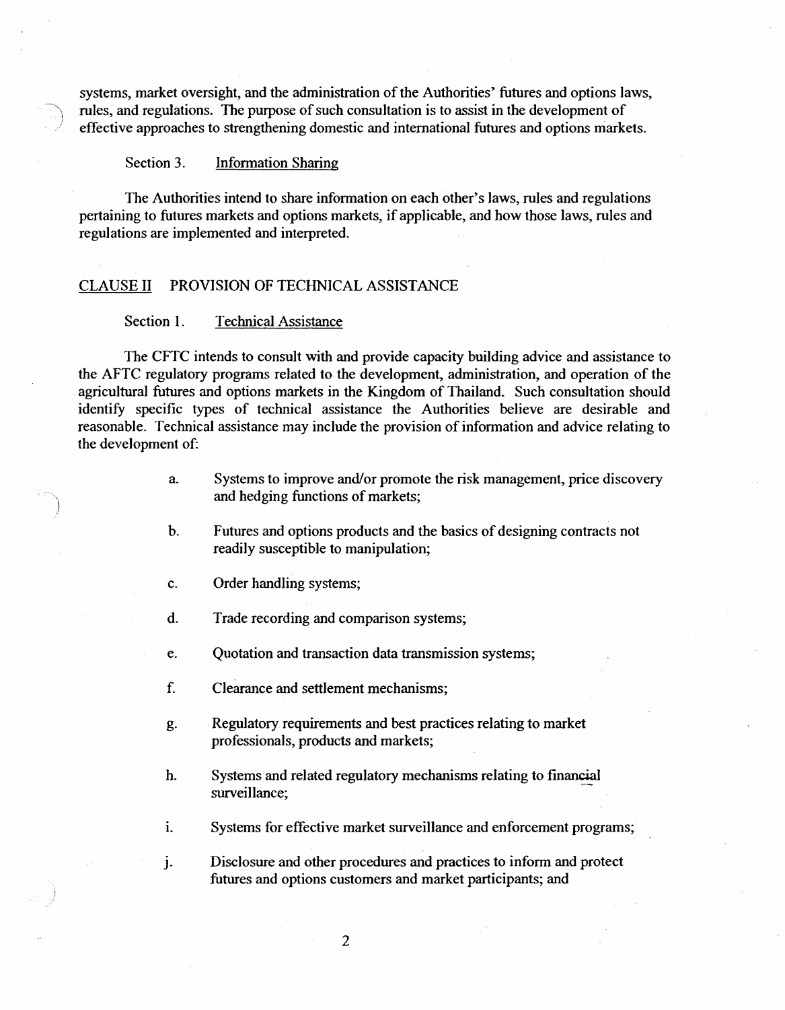systems, market oversight, and the administration of the Authorities' futures and options laws, rules, and regulations. The purpose of such consultation is to assist in the development of effective approaches to strengthening domestic and international futures and options markets.

#### Section 3. Information Sharing

The Authorities intend to share information on each other's laws, rules and regulations pertaining to futures markets and options markets, if applicable, and how those laws, rules and regulations are implemented and interpreted.

## CLAUSE II PROVISION OF TECHNICAL ASSISTANCE

#### Section 1. Technical Assistance

The CFTC intends to consult with and provide capacity building advice and assistance to the AFTC regulatory programs related to the development, administration, and operation of the agricultural futures and options markets in the Kingdom of Thailand. Such consultation should identify specific types of technical assistance the Authorities believe are desirable and reasonable. Technical assistance may include the provision of information and advice relating to the development of:

- a. Systems to improve and/or promote the risk management, price discovery and hedging functions of markets;
- b. Futures and options products and the basics of designing contracts not readily susceptible to manipulation;
- c. Order handling systems;
- d. Trade recording and comparison systems;
- e. Quotation and transaction data transmission systems;
- f. Clearance and settlement mechanisms;
- g. Regulatory requirements and best practices relating to market professionals, products and markets;
- h. Systems and related regulatory mechanisms relating to financial surveillance;
- i. Systems for effective market surveillance and enforcement programs;

j. Disclosure and other procedures and practices to inform and protect futures and options customers and market participants; and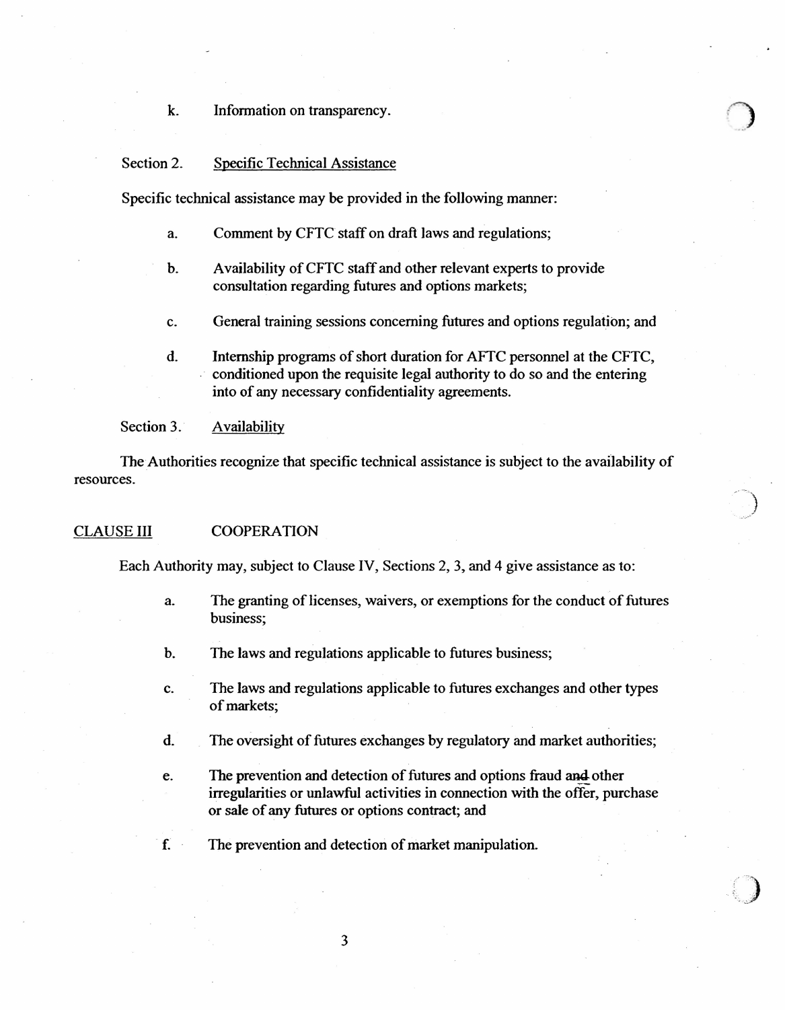#### k. Information on transparency.

#### Section 2. Specific Technical Assistance

Specific technical assistance may be provided in the following manner:

- a. Comment by CFTC staff on draft laws and regulations;
- b. Availability of CFTC staff and other relevant experts to provide consultation regarding futures and options markets;
- c. General training sessions concerning futures and options regulation; and
- d. Internship programs of short duration for AFTC personnel at the CFTC, conditioned upon the requisite legal authority to do so and the entering into of any necessary confidentiality agreements.

Section 3. Availability

The Authorities recognize that specific technical assistance is subject to the availability of resources.

#### CLAUSE III COOPERATION

Each Authority may, subject to Clause IV, Sections 2, 3, and 4 give assistance as to:

a. The granting of licenses, waivers, or exemptions for the conduct of futures business;

)

 $\overline{\phantom{a}}$ 

•···· .. . :;

- b. The laws and regulations applicable to futures business;
- c. The Jaws and regulations applicable to futures exchanges and other types of markets;
- d. The oversight of futures exchanges by regulatory and market authorities;
- e. The prevention and detection of futures and options fraud and other irregularities or unlawful activities in connection with the offer, purchase or sale of any futures or options contract; and
- f. The prevention and detection of market manipulation.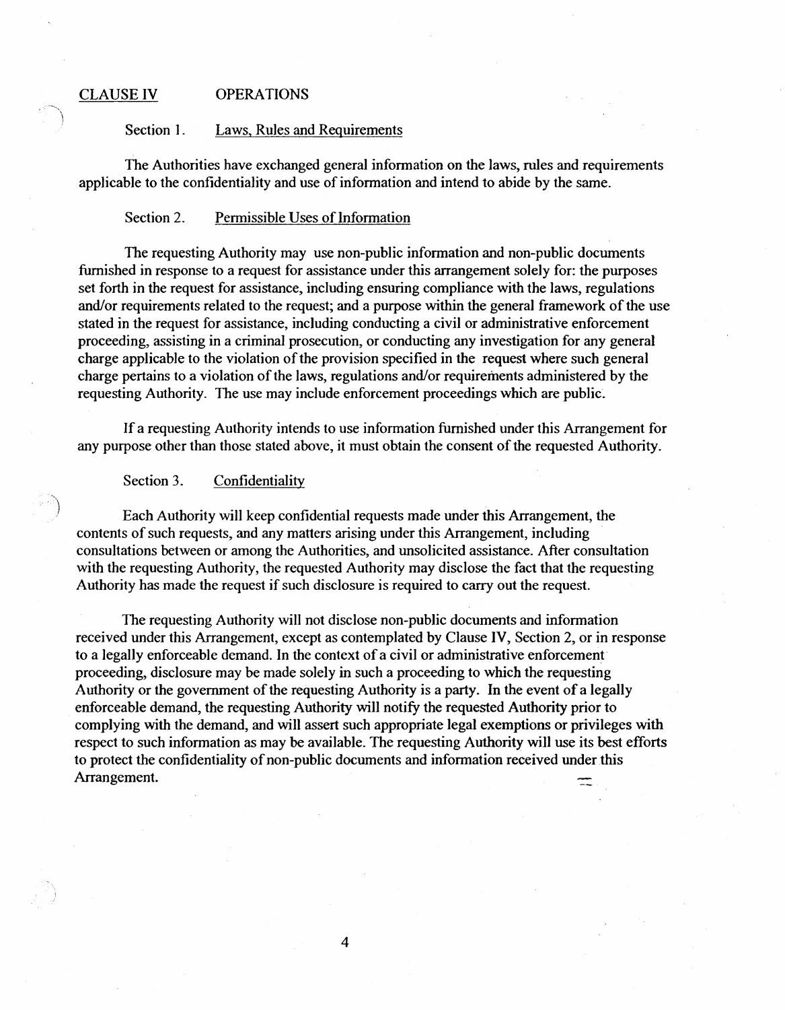# CLAUSE IV OPERATIONS

#### Section 1. Laws, Rules and Requirements

The Authorities have exchanged general information on the laws, rules and requirements applicable to the confidentiality and use of information and intend to abide by the same.

#### Section 2. Permissible Uses of Information

The requesting Authority may use non-public information and non-public documents furnished in response to a request for assistance under this arrangement solely for: the purposes set forth in the request for assistance, including ensuring compliance with the laws, regulations and/or requirements related to the request; and a purpose within the general framework of the use stated in the request for assistance, including conducting a civil or administrative enforcement proceeding, assisting in a criminal prosecution, or conducting any investigation for any general charge applicable to the violation of the provision specified in the request where such general charge pertains to a violation of the laws, regulations and/or requirements administered by the requesting Authority. The use may include enforcement proceedings which are public.

lf a requesting Authority intends to use information furnished under this Arrangement for any purpose other than those stated above, it must obtain the consent of the requested Authority.

## Section 3. Confidentiality

Each Authority wiii keep confidential requests made under this Arrangement, the contents of such requests, and any matters arising under this Arrangement, including consultations between or among the Authorities, and unsolicited assistance. After consultation with the requesting Authority, the requested Authority may disclose the fact that the requesting Authority has made the request if such disclosure is required to carry out the request.

The requesting Authority will not disclose non-public documents and information received under this Arrangement, except as contemplated by Clause IV, Section 2, or in response to a legally enforceable demand. In the context of a civil or administrative enforcementproceeding, disclosure may be made solely in such a proceeding to which the requesting Authority or the government of the requesting Authority is a party. In the event of a legally enforceable demand, the requesting Authority will notify the requested Authority prior to complying with the demand, and will assert such appropriate legal exemptions or privileges with respect to such information as may be available. The requesting Authority will use its best efforts to protect the confidentiality of non-public documents and information received under this Arrangement.  $\equiv$ 

4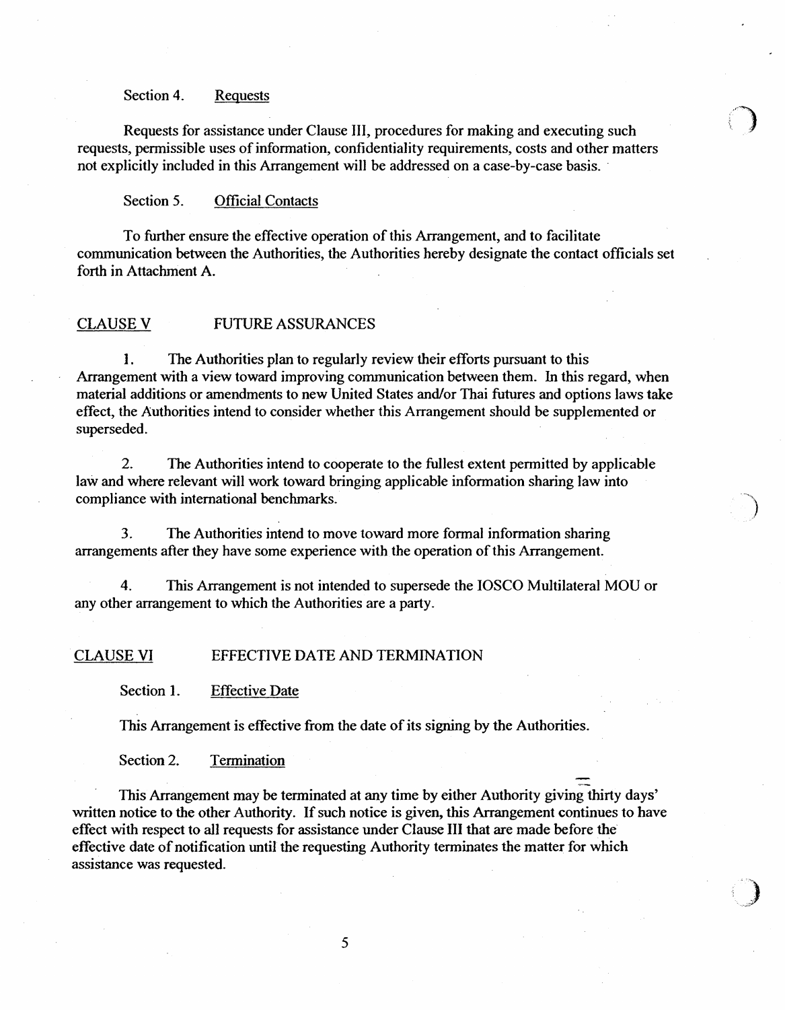#### Section 4. Requests

Requests for assistance under Clause III, procedures for making and executing such requests, permissible uses of information, confidentiality requirements, costs and other matters not explicitly included in this Arrangement will be addressed on a case-by-case basis.

Section 5. Official Contacts

To further ensure the effective operation of this Arrangement, and to facilitate communication between the Authorities, the Authorities hereby designate the contact officials set forth in Attachment A.

## CLAUSE V FUTURE ASSURANCES

l. The Authorities plan to regularly review their efforts pursuant to this Arrangement with a view toward improving communication between them. In this regard, when material additions or amendments to new United States and/or Thai futures and options laws take effect, the Authorities intend to consider whether this Arrangement should be supplemented or superseded.

2. The Authorities intend to cooperate to the fullest extent permitted by applicable law and where relevant will work toward bringing applicable information sharing law into compliance with international benchmarks.

3. The Authorities intend to move toward more formal information sharing arrangements after they have some experience with the operation of this Arrangement.

4. This Arrangement is not intended to supersede the IOSCO Multilateral MOU or any other arrangement to which the Authorities are a party.

## CLAUSE VI EFFECTIVE DATE AND TERMINATION

Section 1. Effective Date

This Arrangement is effective from the date of its signing by the Authorities.

Section 2. Termination

This Arrangement may be terminated at any time by either Authority giving thirty days' written notice to the other Authority. If such notice is given, this Arrangement continues to have effect with respect to all requests for assistance under Clause III that are made before the effective date of notification until the requesting Authority terminates the matter for which assistance was requested.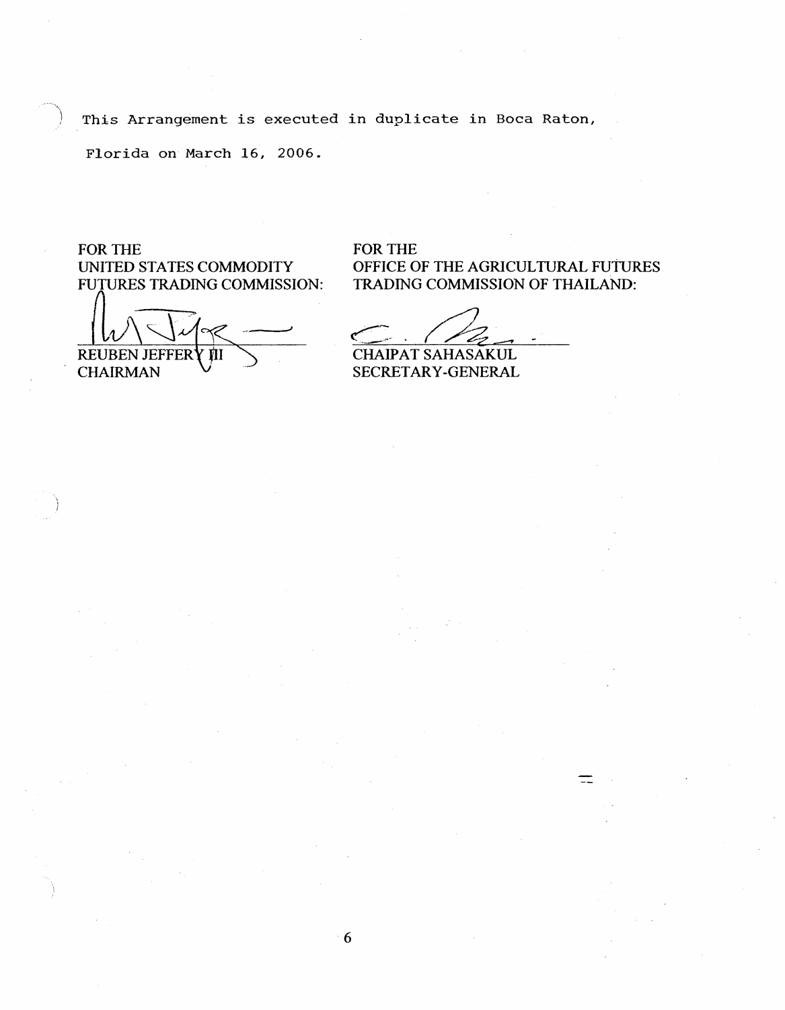This Arrangement is executed in duplicate in Boca Raton,

6

Florida on March 16, 2006.

FOR THE UNITED STATES COMMODITY FUTURES TRADING COMMISSION:

REUBEN JEFFER Ш

CHAIRMAN

FOR THE OFFICE OF THE AGRICULTURAL FUtuRES TRADING COMMISSION OF THAILAND:

CHAIPAT SAHASAKUL

SECRETARY-GENERAL